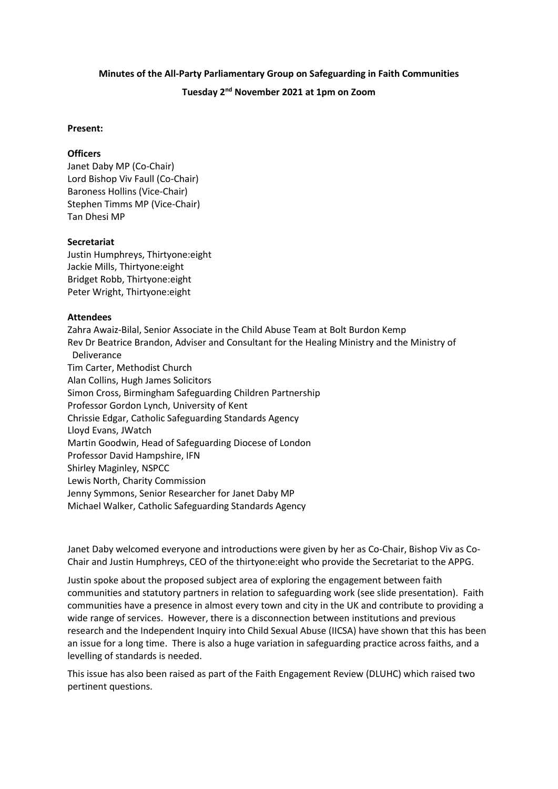# **Minutes of the All-Party Parliamentary Group on Safeguarding in Faith Communities**

## **Tuesday 2nd November 2021 at 1pm on Zoom**

#### **Present:**

### **Officers**

Janet Daby MP (Co-Chair) Lord Bishop Viv Faull (Co-Chair) Baroness Hollins (Vice-Chair) Stephen Timms MP (Vice-Chair) Tan Dhesi MP

### **Secretariat**

Justin Humphreys, Thirtyone:eight Jackie Mills, Thirtyone:eight Bridget Robb, Thirtyone:eight Peter Wright, Thirtyone:eight

### **Attendees**

Zahra Awaiz-Bilal, Senior Associate in the Child Abuse Team at Bolt Burdon Kemp Rev Dr Beatrice Brandon, Adviser and Consultant for the Healing Ministry and the Ministry of Deliverance Tim Carter, Methodist Church Alan Collins, Hugh James Solicitors Simon Cross, Birmingham Safeguarding Children Partnership Professor Gordon Lynch, University of Kent Chrissie Edgar, Catholic Safeguarding Standards Agency Lloyd Evans, JWatch Martin Goodwin, Head of Safeguarding Diocese of London Professor David Hampshire, IFN Shirley Maginley, NSPCC Lewis North, Charity Commission Jenny Symmons, Senior Researcher for Janet Daby MP Michael Walker, Catholic Safeguarding Standards Agency

Janet Daby welcomed everyone and introductions were given by her as Co-Chair, Bishop Viv as Co-Chair and Justin Humphreys, CEO of the thirtyone:eight who provide the Secretariat to the APPG.

Justin spoke about the proposed subject area of exploring the engagement between faith communities and statutory partners in relation to safeguarding work (see slide presentation). Faith communities have a presence in almost every town and city in the UK and contribute to providing a wide range of services. However, there is a disconnection between institutions and previous research and the Independent Inquiry into Child Sexual Abuse (IICSA) have shown that this has been an issue for a long time. There is also a huge variation in safeguarding practice across faiths, and a levelling of standards is needed.

This issue has also been raised as part of the Faith Engagement Review (DLUHC) which raised two pertinent questions.